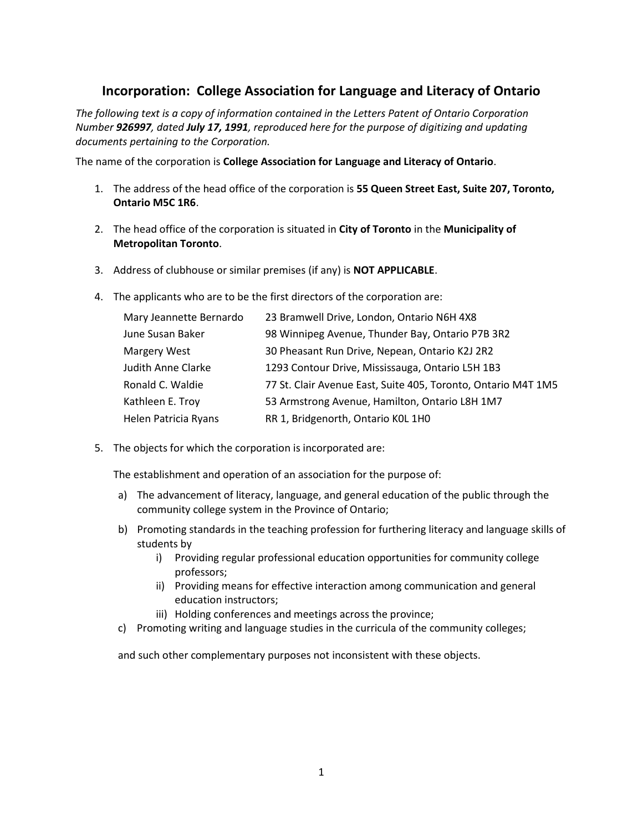# **Incorporation: College Association for Language and Literacy of Ontario**

*The following text is a copy of information contained in the Letters Patent of Ontario Corporation Number 926997, dated July 17, 1991, reproduced here for the purpose of digitizing and updating documents pertaining to the Corporation.*

The name of the corporation is **College Association for Language and Literacy of Ontario**.

- 1. The address of the head office of the corporation is **55 Queen Street East, Suite 207, Toronto, Ontario M5C 1R6**.
- 2. The head office of the corporation is situated in **City of Toronto** in the **Municipality of Metropolitan Toronto**.
- 3. Address of clubhouse or similar premises (if any) is **NOT APPLICABLE**.
- 4. The applicants who are to be the first directors of the corporation are:

| Mary Jeannette Bernardo   | 23 Bramwell Drive, London, Ontario N6H 4X8                    |
|---------------------------|---------------------------------------------------------------|
| June Susan Baker          | 98 Winnipeg Avenue, Thunder Bay, Ontario P7B 3R2              |
| Margery West              | 30 Pheasant Run Drive, Nepean, Ontario K2J 2R2                |
| <b>Judith Anne Clarke</b> | 1293 Contour Drive, Mississauga, Ontario L5H 1B3              |
| Ronald C. Waldie          | 77 St. Clair Avenue East, Suite 405, Toronto, Ontario M4T 1M5 |
| Kathleen E. Troy          | 53 Armstrong Avenue, Hamilton, Ontario L8H 1M7                |
| Helen Patricia Ryans      | RR 1, Bridgenorth, Ontario KOL 1HO                            |

5. The objects for which the corporation is incorporated are:

The establishment and operation of an association for the purpose of:

- a) The advancement of literacy, language, and general education of the public through the community college system in the Province of Ontario;
- b) Promoting standards in the teaching profession for furthering literacy and language skills of students by
	- i) Providing regular professional education opportunities for community college professors;
	- ii) Providing means for effective interaction among communication and general education instructors;
	- iii) Holding conferences and meetings across the province;
- c) Promoting writing and language studies in the curricula of the community colleges;

and such other complementary purposes not inconsistent with these objects.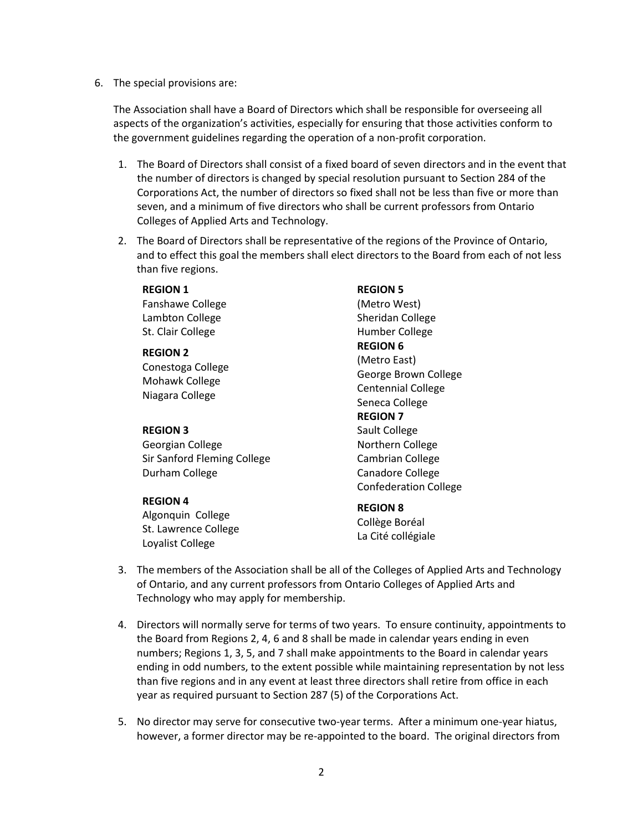6. The special provisions are:

The Association shall have a Board of Directors which shall be responsible for overseeing all aspects of the organization's activities, especially for ensuring that those activities conform to the government guidelines regarding the operation of a non-profit corporation.

- 1. The Board of Directors shall consist of a fixed board of seven directors and in the event that the number of directors is changed by special resolution pursuant to Section 284 of the Corporations Act, the number of directors so fixed shall not be less than five or more than seven, and a minimum of five directors who shall be current professors from Ontario Colleges of Applied Arts and Technology.
- 2. The Board of Directors shall be representative of the regions of the Province of Ontario, and to effect this goal the members shall elect directors to the Board from each of not less than five regions.

## **REGION 1**

Fanshawe College Lambton College St. Clair College

## **REGION 2**

Conestoga College Mohawk College Niagara College

#### **REGION 3**

Georgian College Sir Sanford Fleming College Durham College

#### **REGION 4**

Algonquin College St. Lawrence College Loyalist College

**REGION 5** (Metro West) Sheridan College Humber College **REGION 6** (Metro East) George Brown College Centennial College Seneca College **REGION 7** Sault College Northern College Cambrian College Canadore College Confederation College

#### **REGION 8**

Collège Boréal La Cité collégiale

- 3. The members of the Association shall be all of the Colleges of Applied Arts and Technology of Ontario, and any current professors from Ontario Colleges of Applied Arts and Technology who may apply for membership.
- 4. Directors will normally serve for terms of two years. To ensure continuity, appointments to the Board from Regions 2, 4, 6 and 8 shall be made in calendar years ending in even numbers; Regions 1, 3, 5, and 7 shall make appointments to the Board in calendar years ending in odd numbers, to the extent possible while maintaining representation by not less than five regions and in any event at least three directors shall retire from office in each year as required pursuant to Section 287 (5) of the Corporations Act.
- 5. No director may serve for consecutive two-year terms. After a minimum one-year hiatus, however, a former director may be re-appointed to the board. The original directors from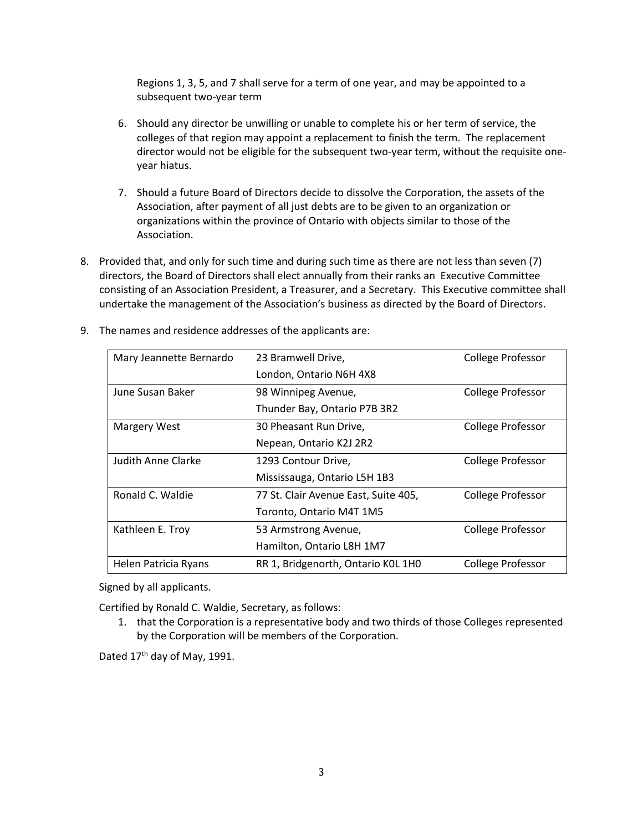Regions 1, 3, 5, and 7 shall serve for a term of one year, and may be appointed to a subsequent two-year term

- 6. Should any director be unwilling or unable to complete his or her term of service, the colleges of that region may appoint a replacement to finish the term. The replacement director would not be eligible for the subsequent two-year term, without the requisite oneyear hiatus.
- 7. Should a future Board of Directors decide to dissolve the Corporation, the assets of the Association, after payment of all just debts are to be given to an organization or organizations within the province of Ontario with objects similar to those of the Association.
- 8. Provided that, and only for such time and during such time as there are not less than seven (7) directors, the Board of Directors shall elect annually from their ranks an Executive Committee consisting of an Association President, a Treasurer, and a Secretary. This Executive committee shall undertake the management of the Association's business as directed by the Board of Directors.

| Mary Jeannette Bernardo | 23 Bramwell Drive,                   | College Professor |
|-------------------------|--------------------------------------|-------------------|
|                         | London, Ontario N6H 4X8              |                   |
| June Susan Baker        | 98 Winnipeg Avenue,                  | College Professor |
|                         | Thunder Bay, Ontario P7B 3R2         |                   |
| <b>Margery West</b>     | 30 Pheasant Run Drive,               | College Professor |
|                         | Nepean, Ontario K2J 2R2              |                   |
| Judith Anne Clarke      | 1293 Contour Drive,                  | College Professor |
|                         | Mississauga, Ontario L5H 1B3         |                   |
| Ronald C. Waldie        | 77 St. Clair Avenue East, Suite 405, | College Professor |
|                         | Toronto, Ontario M4T 1M5             |                   |
| Kathleen E. Troy        | 53 Armstrong Avenue,                 | College Professor |
|                         | Hamilton, Ontario L8H 1M7            |                   |
| Helen Patricia Ryans    | RR 1, Bridgenorth, Ontario KOL 1HO   | College Professor |

9. The names and residence addresses of the applicants are:

Signed by all applicants.

Certified by Ronald C. Waldie, Secretary, as follows:

1. that the Corporation is a representative body and two thirds of those Colleges represented by the Corporation will be members of the Corporation.

Dated 17<sup>th</sup> day of May, 1991.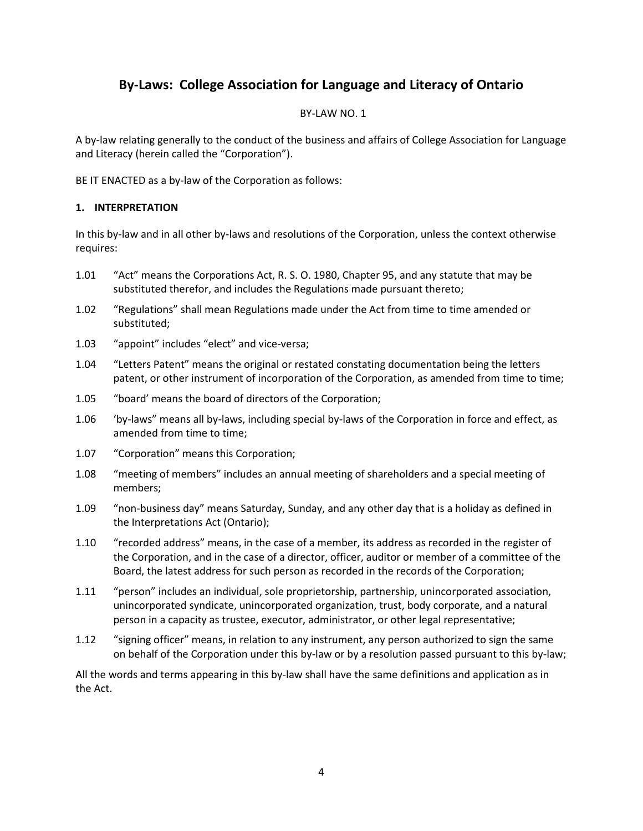# **By-Laws: College Association for Language and Literacy of Ontario**

# BY-LAW NO. 1

A by-law relating generally to the conduct of the business and affairs of College Association for Language and Literacy (herein called the "Corporation").

BE IT ENACTED as a by-law of the Corporation as follows:

# **1. INTERPRETATION**

In this by-law and in all other by-laws and resolutions of the Corporation, unless the context otherwise requires:

- 1.01 "Act" means the Corporations Act, R. S. O. 1980, Chapter 95, and any statute that may be substituted therefor, and includes the Regulations made pursuant thereto;
- 1.02 "Regulations" shall mean Regulations made under the Act from time to time amended or substituted;
- 1.03 "appoint" includes "elect" and vice-versa;
- 1.04 "Letters Patent" means the original or restated constating documentation being the letters patent, or other instrument of incorporation of the Corporation, as amended from time to time;
- 1.05 "board' means the board of directors of the Corporation;
- 1.06 'by-laws" means all by-laws, including special by-laws of the Corporation in force and effect, as amended from time to time;
- 1.07 "Corporation" means this Corporation;
- 1.08 "meeting of members" includes an annual meeting of shareholders and a special meeting of members;
- 1.09 "non-business day" means Saturday, Sunday, and any other day that is a holiday as defined in the Interpretations Act (Ontario);
- 1.10 "recorded address" means, in the case of a member, its address as recorded in the register of the Corporation, and in the case of a director, officer, auditor or member of a committee of the Board, the latest address for such person as recorded in the records of the Corporation;
- 1.11 "person" includes an individual, sole proprietorship, partnership, unincorporated association, unincorporated syndicate, unincorporated organization, trust, body corporate, and a natural person in a capacity as trustee, executor, administrator, or other legal representative;
- 1.12 "signing officer" means, in relation to any instrument, any person authorized to sign the same on behalf of the Corporation under this by-law or by a resolution passed pursuant to this by-law;

All the words and terms appearing in this by-law shall have the same definitions and application as in the Act.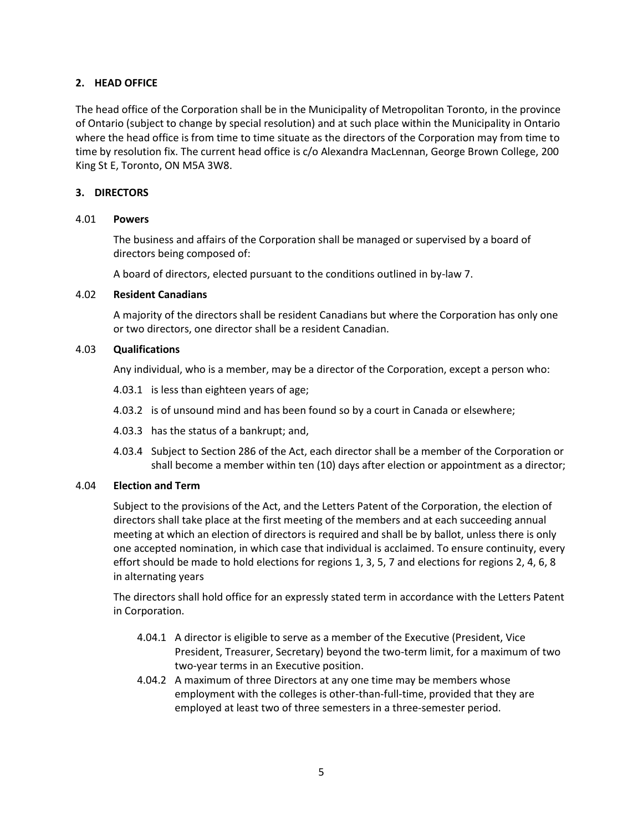# **2. HEAD OFFICE**

The head office of the Corporation shall be in the Municipality of Metropolitan Toronto, in the province of Ontario (subject to change by special resolution) and at such place within the Municipality in Ontario where the head office is from time to time situate as the directors of the Corporation may from time to time by resolution fix. The current head office is c/o Alexandra MacLennan, George Brown College, 200 King St E, Toronto, ON M5A 3W8.

# **3. DIRECTORS**

# 4.01 **Powers**

The business and affairs of the Corporation shall be managed or supervised by a board of directors being composed of:

A board of directors, elected pursuant to the conditions outlined in by-law 7.

# 4.02 **Resident Canadians**

A majority of the directors shall be resident Canadians but where the Corporation has only one or two directors, one director shall be a resident Canadian.

# 4.03 **Qualifications**

Any individual, who is a member, may be a director of the Corporation, except a person who:

- 4.03.1 is less than eighteen years of age;
- 4.03.2 is of unsound mind and has been found so by a court in Canada or elsewhere;
- 4.03.3 has the status of a bankrupt; and,
- 4.03.4 Subject to Section 286 of the Act, each director shall be a member of the Corporation or shall become a member within ten (10) days after election or appointment as a director;

# 4.04 **Election and Term**

Subject to the provisions of the Act, and the Letters Patent of the Corporation, the election of directors shall take place at the first meeting of the members and at each succeeding annual meeting at which an election of directors is required and shall be by ballot, unless there is only one accepted nomination, in which case that individual is acclaimed. To ensure continuity, every effort should be made to hold elections for regions 1, 3, 5, 7 and elections for regions 2, 4, 6, 8 in alternating years

The directors shall hold office for an expressly stated term in accordance with the Letters Patent in Corporation.

- 4.04.1 A director is eligible to serve as a member of the Executive (President, Vice President, Treasurer, Secretary) beyond the two-term limit, for a maximum of two two-year terms in an Executive position.
- 4.04.2 A maximum of three Directors at any one time may be members whose employment with the colleges is other-than-full-time, provided that they are employed at least two of three semesters in a three-semester period.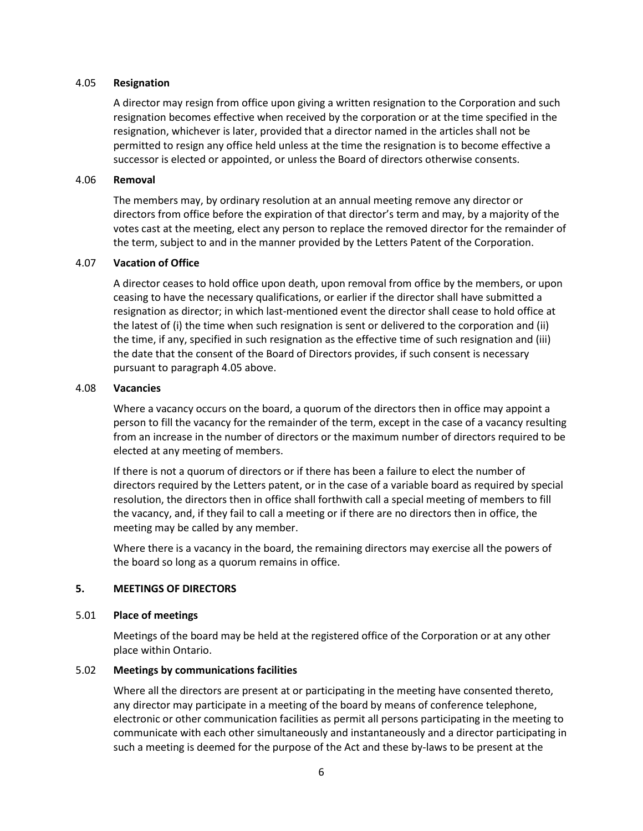#### 4.05 **Resignation**

A director may resign from office upon giving a written resignation to the Corporation and such resignation becomes effective when received by the corporation or at the time specified in the resignation, whichever is later, provided that a director named in the articles shall not be permitted to resign any office held unless at the time the resignation is to become effective a successor is elected or appointed, or unless the Board of directors otherwise consents.

## 4.06 **Removal**

The members may, by ordinary resolution at an annual meeting remove any director or directors from office before the expiration of that director's term and may, by a majority of the votes cast at the meeting, elect any person to replace the removed director for the remainder of the term, subject to and in the manner provided by the Letters Patent of the Corporation.

## 4.07 **Vacation of Office**

A director ceases to hold office upon death, upon removal from office by the members, or upon ceasing to have the necessary qualifications, or earlier if the director shall have submitted a resignation as director; in which last-mentioned event the director shall cease to hold office at the latest of (i) the time when such resignation is sent or delivered to the corporation and (ii) the time, if any, specified in such resignation as the effective time of such resignation and (iii) the date that the consent of the Board of Directors provides, if such consent is necessary pursuant to paragraph 4.05 above.

## 4.08 **Vacancies**

Where a vacancy occurs on the board, a quorum of the directors then in office may appoint a person to fill the vacancy for the remainder of the term, except in the case of a vacancy resulting from an increase in the number of directors or the maximum number of directors required to be elected at any meeting of members.

If there is not a quorum of directors or if there has been a failure to elect the number of directors required by the Letters patent, or in the case of a variable board as required by special resolution, the directors then in office shall forthwith call a special meeting of members to fill the vacancy, and, if they fail to call a meeting or if there are no directors then in office, the meeting may be called by any member.

Where there is a vacancy in the board, the remaining directors may exercise all the powers of the board so long as a quorum remains in office.

## **5. MEETINGS OF DIRECTORS**

#### 5.01 **Place of meetings**

Meetings of the board may be held at the registered office of the Corporation or at any other place within Ontario.

#### 5.02 **Meetings by communications facilities**

Where all the directors are present at or participating in the meeting have consented thereto, any director may participate in a meeting of the board by means of conference telephone, electronic or other communication facilities as permit all persons participating in the meeting to communicate with each other simultaneously and instantaneously and a director participating in such a meeting is deemed for the purpose of the Act and these by-laws to be present at the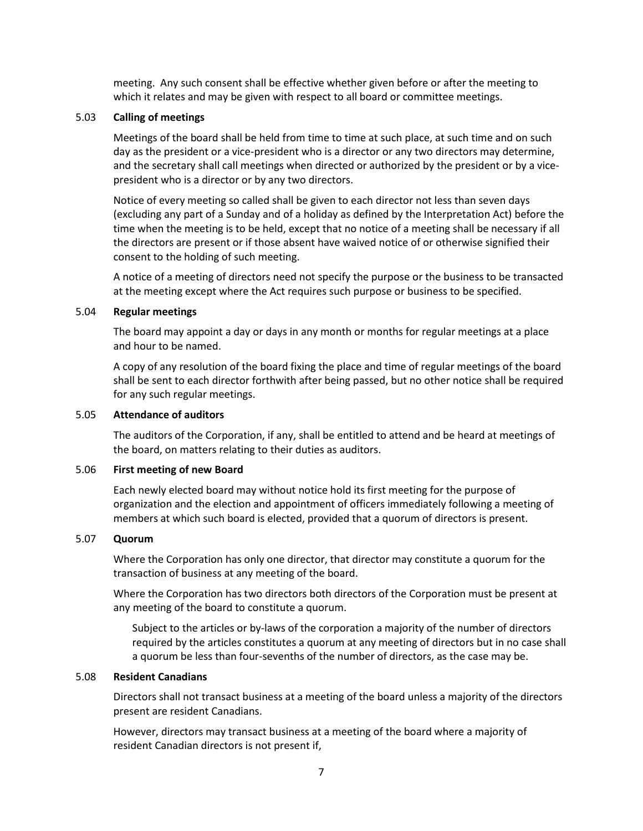meeting. Any such consent shall be effective whether given before or after the meeting to which it relates and may be given with respect to all board or committee meetings.

#### 5.03 **Calling of meetings**

Meetings of the board shall be held from time to time at such place, at such time and on such day as the president or a vice-president who is a director or any two directors may determine, and the secretary shall call meetings when directed or authorized by the president or by a vicepresident who is a director or by any two directors.

Notice of every meeting so called shall be given to each director not less than seven days (excluding any part of a Sunday and of a holiday as defined by the Interpretation Act) before the time when the meeting is to be held, except that no notice of a meeting shall be necessary if all the directors are present or if those absent have waived notice of or otherwise signified their consent to the holding of such meeting.

A notice of a meeting of directors need not specify the purpose or the business to be transacted at the meeting except where the Act requires such purpose or business to be specified.

#### 5.04 **Regular meetings**

The board may appoint a day or days in any month or months for regular meetings at a place and hour to be named.

A copy of any resolution of the board fixing the place and time of regular meetings of the board shall be sent to each director forthwith after being passed, but no other notice shall be required for any such regular meetings.

# 5.05 **Attendance of auditors**

The auditors of the Corporation, if any, shall be entitled to attend and be heard at meetings of the board, on matters relating to their duties as auditors.

#### 5.06 **First meeting of new Board**

Each newly elected board may without notice hold its first meeting for the purpose of organization and the election and appointment of officers immediately following a meeting of members at which such board is elected, provided that a quorum of directors is present.

#### 5.07 **Quorum**

Where the Corporation has only one director, that director may constitute a quorum for the transaction of business at any meeting of the board.

Where the Corporation has two directors both directors of the Corporation must be present at any meeting of the board to constitute a quorum.

Subject to the articles or by-laws of the corporation a majority of the number of directors required by the articles constitutes a quorum at any meeting of directors but in no case shall a quorum be less than four-sevenths of the number of directors, as the case may be.

#### 5.08 **Resident Canadians**

Directors shall not transact business at a meeting of the board unless a majority of the directors present are resident Canadians.

However, directors may transact business at a meeting of the board where a majority of resident Canadian directors is not present if,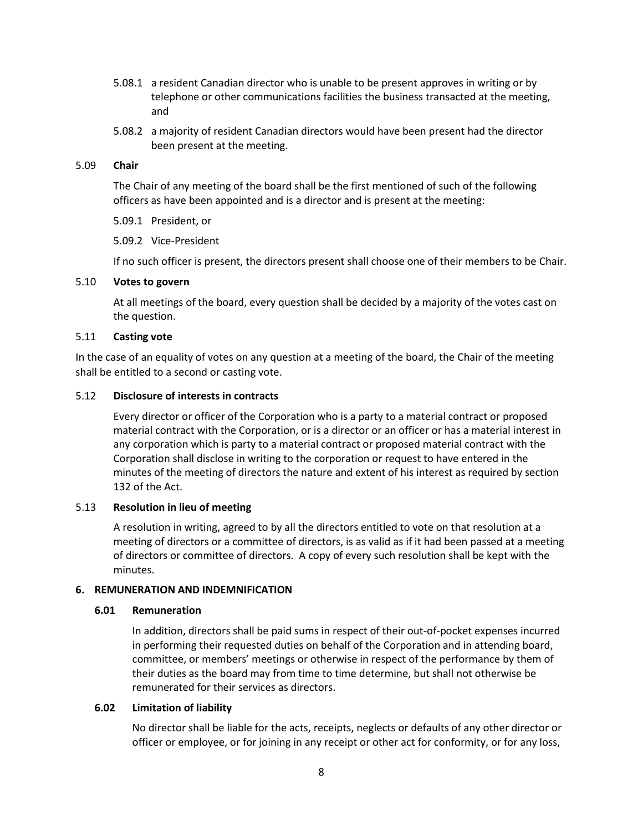- 5.08.1 a resident Canadian director who is unable to be present approves in writing or by telephone or other communications facilities the business transacted at the meeting, and
- 5.08.2 a majority of resident Canadian directors would have been present had the director been present at the meeting.

#### 5.09 **Chair**

The Chair of any meeting of the board shall be the first mentioned of such of the following officers as have been appointed and is a director and is present at the meeting:

5.09.1 President, or

5.09.2 Vice-President

If no such officer is present, the directors present shall choose one of their members to be Chair.

#### 5.10 **Votes to govern**

At all meetings of the board, every question shall be decided by a majority of the votes cast on the question.

## 5.11 **Casting vote**

In the case of an equality of votes on any question at a meeting of the board, the Chair of the meeting shall be entitled to a second or casting vote.

## 5.12 **Disclosure of interests in contracts**

Every director or officer of the Corporation who is a party to a material contract or proposed material contract with the Corporation, or is a director or an officer or has a material interest in any corporation which is party to a material contract or proposed material contract with the Corporation shall disclose in writing to the corporation or request to have entered in the minutes of the meeting of directors the nature and extent of his interest as required by section 132 of the Act.

#### 5.13 **Resolution in lieu of meeting**

A resolution in writing, agreed to by all the directors entitled to vote on that resolution at a meeting of directors or a committee of directors, is as valid as if it had been passed at a meeting of directors or committee of directors. A copy of every such resolution shall be kept with the minutes.

#### **6. REMUNERATION AND INDEMNIFICATION**

#### **6.01 Remuneration**

In addition, directors shall be paid sums in respect of their out-of-pocket expenses incurred in performing their requested duties on behalf of the Corporation and in attending board, committee, or members' meetings or otherwise in respect of the performance by them of their duties as the board may from time to time determine, but shall not otherwise be remunerated for their services as directors.

#### **6.02 Limitation of liability**

No director shall be liable for the acts, receipts, neglects or defaults of any other director or officer or employee, or for joining in any receipt or other act for conformity, or for any loss,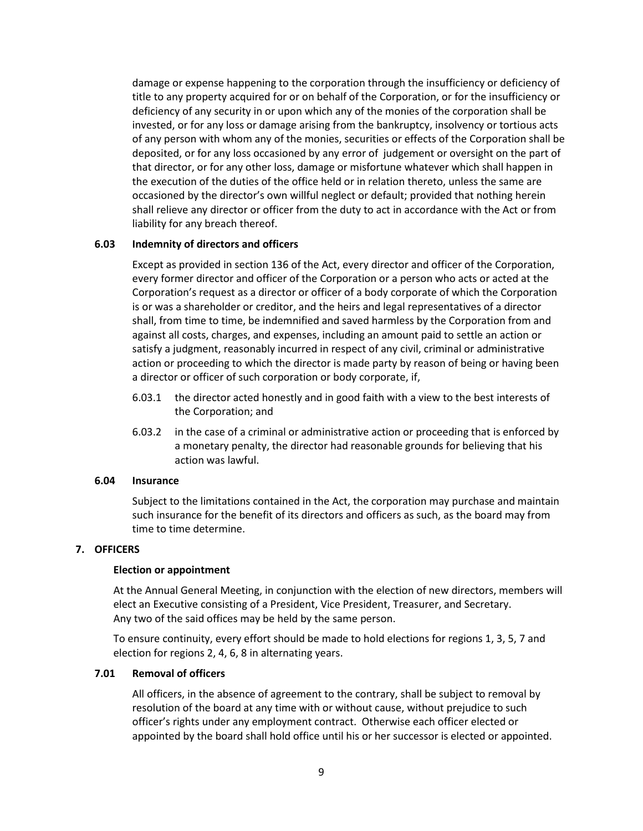damage or expense happening to the corporation through the insufficiency or deficiency of title to any property acquired for or on behalf of the Corporation, or for the insufficiency or deficiency of any security in or upon which any of the monies of the corporation shall be invested, or for any loss or damage arising from the bankruptcy, insolvency or tortious acts of any person with whom any of the monies, securities or effects of the Corporation shall be deposited, or for any loss occasioned by any error of judgement or oversight on the part of that director, or for any other loss, damage or misfortune whatever which shall happen in the execution of the duties of the office held or in relation thereto, unless the same are occasioned by the director's own willful neglect or default; provided that nothing herein shall relieve any director or officer from the duty to act in accordance with the Act or from liability for any breach thereof.

#### **6.03 Indemnity of directors and officers**

Except as provided in section 136 of the Act, every director and officer of the Corporation, every former director and officer of the Corporation or a person who acts or acted at the Corporation's request as a director or officer of a body corporate of which the Corporation is or was a shareholder or creditor, and the heirs and legal representatives of a director shall, from time to time, be indemnified and saved harmless by the Corporation from and against all costs, charges, and expenses, including an amount paid to settle an action or satisfy a judgment, reasonably incurred in respect of any civil, criminal or administrative action or proceeding to which the director is made party by reason of being or having been a director or officer of such corporation or body corporate, if,

- 6.03.1 the director acted honestly and in good faith with a view to the best interests of the Corporation; and
- 6.03.2 in the case of a criminal or administrative action or proceeding that is enforced by a monetary penalty, the director had reasonable grounds for believing that his action was lawful.

#### **6.04 Insurance**

Subject to the limitations contained in the Act, the corporation may purchase and maintain such insurance for the benefit of its directors and officers as such, as the board may from time to time determine.

## **7. OFFICERS**

#### **Election or appointment**

At the Annual General Meeting, in conjunction with the election of new directors, members will elect an Executive consisting of a President, Vice President, Treasurer, and Secretary. Any two of the said offices may be held by the same person.

To ensure continuity, every effort should be made to hold elections for regions 1, 3, 5, 7 and election for regions 2, 4, 6, 8 in alternating years.

#### **7.01 Removal of officers**

All officers, in the absence of agreement to the contrary, shall be subject to removal by resolution of the board at any time with or without cause, without prejudice to such officer's rights under any employment contract. Otherwise each officer elected or appointed by the board shall hold office until his or her successor is elected or appointed.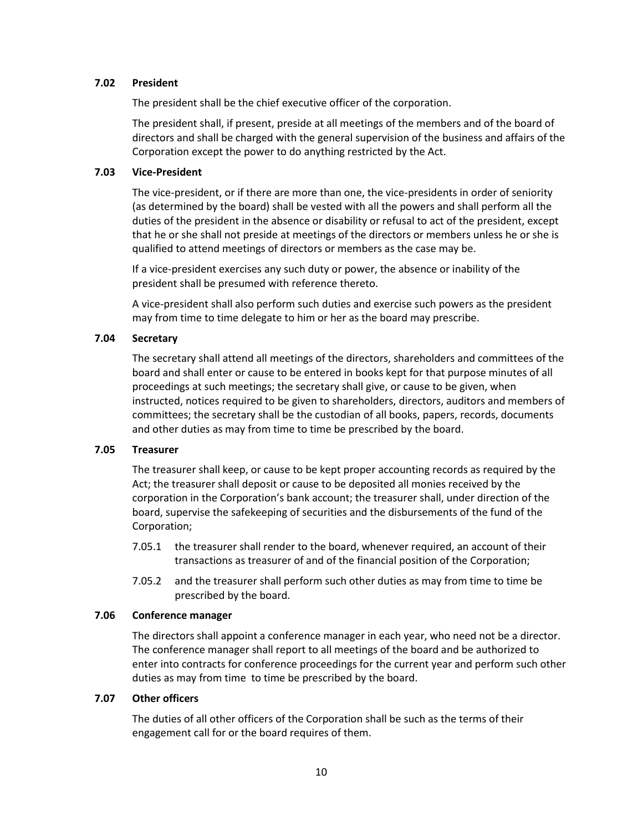# **7.02 President**

The president shall be the chief executive officer of the corporation.

The president shall, if present, preside at all meetings of the members and of the board of directors and shall be charged with the general supervision of the business and affairs of the Corporation except the power to do anything restricted by the Act.

## **7.03 Vice-President**

The vice-president, or if there are more than one, the vice-presidents in order of seniority (as determined by the board) shall be vested with all the powers and shall perform all the duties of the president in the absence or disability or refusal to act of the president, except that he or she shall not preside at meetings of the directors or members unless he or she is qualified to attend meetings of directors or members as the case may be.

If a vice-president exercises any such duty or power, the absence or inability of the president shall be presumed with reference thereto.

A vice-president shall also perform such duties and exercise such powers as the president may from time to time delegate to him or her as the board may prescribe.

# **7.04 Secretary**

The secretary shall attend all meetings of the directors, shareholders and committees of the board and shall enter or cause to be entered in books kept for that purpose minutes of all proceedings at such meetings; the secretary shall give, or cause to be given, when instructed, notices required to be given to shareholders, directors, auditors and members of committees; the secretary shall be the custodian of all books, papers, records, documents and other duties as may from time to time be prescribed by the board.

## **7.05 Treasurer**

The treasurer shall keep, or cause to be kept proper accounting records as required by the Act; the treasurer shall deposit or cause to be deposited all monies received by the corporation in the Corporation's bank account; the treasurer shall, under direction of the board, supervise the safekeeping of securities and the disbursements of the fund of the Corporation;

- 7.05.1 the treasurer shall render to the board, whenever required, an account of their transactions as treasurer of and of the financial position of the Corporation;
- 7.05.2 and the treasurer shall perform such other duties as may from time to time be prescribed by the board.

#### **7.06 Conference manager**

The directors shall appoint a conference manager in each year, who need not be a director. The conference manager shall report to all meetings of the board and be authorized to enter into contracts for conference proceedings for the current year and perform such other duties as may from time to time be prescribed by the board.

#### **7.07 Other officers**

The duties of all other officers of the Corporation shall be such as the terms of their engagement call for or the board requires of them.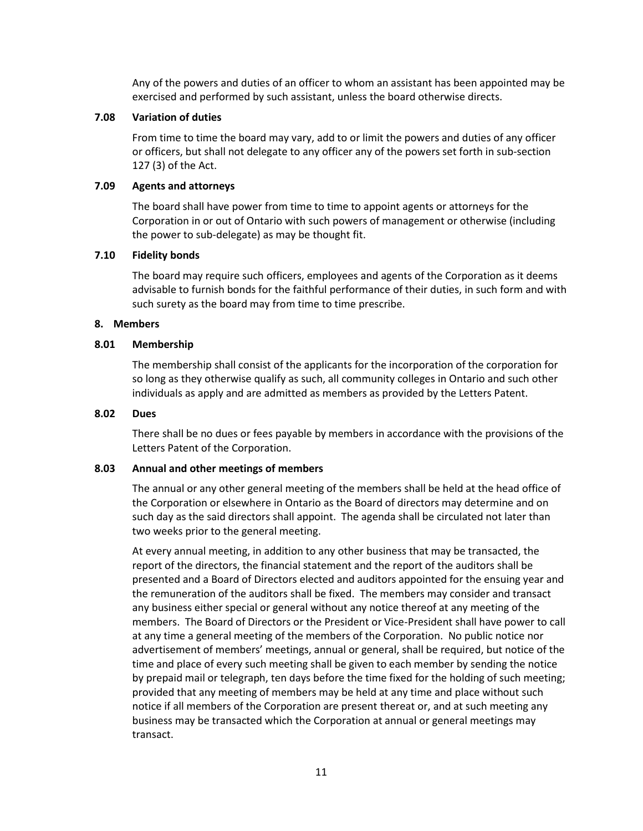Any of the powers and duties of an officer to whom an assistant has been appointed may be exercised and performed by such assistant, unless the board otherwise directs.

## **7.08 Variation of duties**

From time to time the board may vary, add to or limit the powers and duties of any officer or officers, but shall not delegate to any officer any of the powers set forth in sub-section 127 (3) of the Act.

# **7.09 Agents and attorneys**

The board shall have power from time to time to appoint agents or attorneys for the Corporation in or out of Ontario with such powers of management or otherwise (including the power to sub-delegate) as may be thought fit.

## **7.10 Fidelity bonds**

The board may require such officers, employees and agents of the Corporation as it deems advisable to furnish bonds for the faithful performance of their duties, in such form and with such surety as the board may from time to time prescribe.

## **8. Members**

## **8.01 Membership**

The membership shall consist of the applicants for the incorporation of the corporation for so long as they otherwise qualify as such, all community colleges in Ontario and such other individuals as apply and are admitted as members as provided by the Letters Patent.

## **8.02 Dues**

There shall be no dues or fees payable by members in accordance with the provisions of the Letters Patent of the Corporation.

# **8.03 Annual and other meetings of members**

The annual or any other general meeting of the members shall be held at the head office of the Corporation or elsewhere in Ontario as the Board of directors may determine and on such day as the said directors shall appoint. The agenda shall be circulated not later than two weeks prior to the general meeting.

At every annual meeting, in addition to any other business that may be transacted, the report of the directors, the financial statement and the report of the auditors shall be presented and a Board of Directors elected and auditors appointed for the ensuing year and the remuneration of the auditors shall be fixed. The members may consider and transact any business either special or general without any notice thereof at any meeting of the members. The Board of Directors or the President or Vice-President shall have power to call at any time a general meeting of the members of the Corporation. No public notice nor advertisement of members' meetings, annual or general, shall be required, but notice of the time and place of every such meeting shall be given to each member by sending the notice by prepaid mail or telegraph, ten days before the time fixed for the holding of such meeting; provided that any meeting of members may be held at any time and place without such notice if all members of the Corporation are present thereat or, and at such meeting any business may be transacted which the Corporation at annual or general meetings may transact.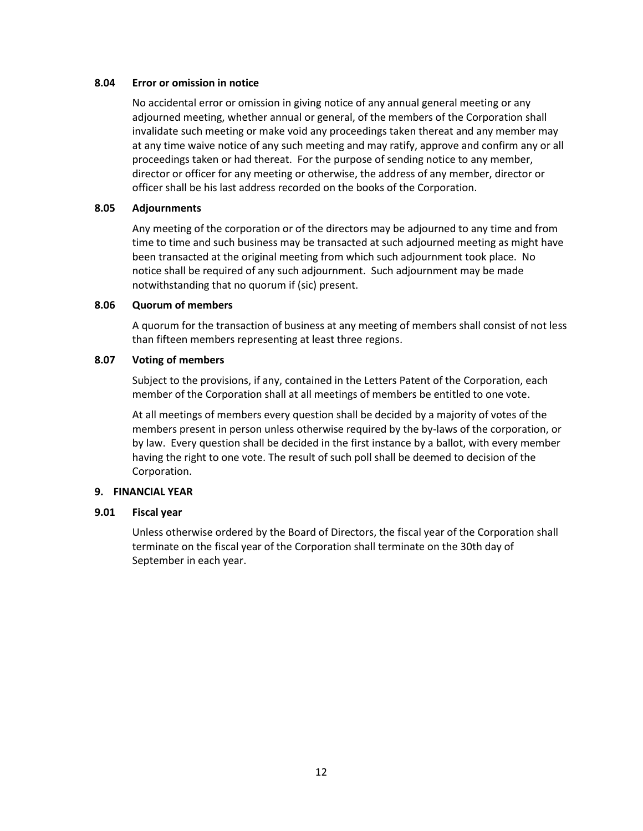## **8.04 Error or omission in notice**

No accidental error or omission in giving notice of any annual general meeting or any adjourned meeting, whether annual or general, of the members of the Corporation shall invalidate such meeting or make void any proceedings taken thereat and any member may at any time waive notice of any such meeting and may ratify, approve and confirm any or all proceedings taken or had thereat. For the purpose of sending notice to any member, director or officer for any meeting or otherwise, the address of any member, director or officer shall be his last address recorded on the books of the Corporation.

# **8.05 Adjournments**

Any meeting of the corporation or of the directors may be adjourned to any time and from time to time and such business may be transacted at such adjourned meeting as might have been transacted at the original meeting from which such adjournment took place. No notice shall be required of any such adjournment. Such adjournment may be made notwithstanding that no quorum if (sic) present.

# **8.06 Quorum of members**

A quorum for the transaction of business at any meeting of members shall consist of not less than fifteen members representing at least three regions.

## **8.07 Voting of members**

Subject to the provisions, if any, contained in the Letters Patent of the Corporation, each member of the Corporation shall at all meetings of members be entitled to one vote.

At all meetings of members every question shall be decided by a majority of votes of the members present in person unless otherwise required by the by-laws of the corporation, or by law. Every question shall be decided in the first instance by a ballot, with every member having the right to one vote. The result of such poll shall be deemed to decision of the Corporation.

# **9. FINANCIAL YEAR**

# **9.01 Fiscal year**

Unless otherwise ordered by the Board of Directors, the fiscal year of the Corporation shall terminate on the fiscal year of the Corporation shall terminate on the 30th day of September in each year.